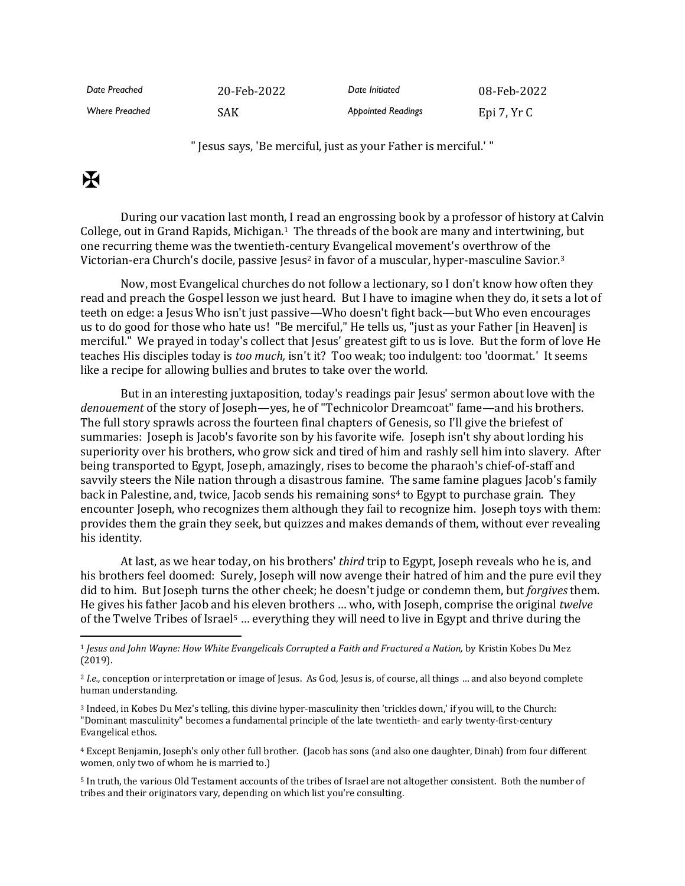| Date Preached         | 20-Feb-2022 | Date Initiated            | 08-Feb-2022 |
|-----------------------|-------------|---------------------------|-------------|
| <b>Where Preached</b> | SAK         | <b>Appointed Readings</b> | Epi 7, Yr C |

" Jesus says, 'Be merciful, just as your Father is merciful.' "

## $\mathbf K$

During our vacation last month, I read an engrossing book by a professor of history at Calvin College, out in Grand Rapids, Michigan.1 The threads of the book are many and intertwining, but one recurring theme was the twentieth-century Evangelical movement's overthrow of the Victorian-era Church's docile, passive Jesus<sup>2</sup> in favor of a muscular, hyper-masculine Savior.<sup>3</sup>

Now, most Evangelical churches do not follow a lectionary, so I don't know how often they read and preach the Gospel lesson we just heard. But I have to imagine when they do, it sets a lot of teeth on edge: a Jesus Who isn't just passive—Who doesn't fight back—but Who even encourages us to do good for those who hate us! "Be merciful," He tells us, "just as your Father [in Heaven] is merciful." We prayed in today's collect that Jesus' greatest gift to us is love. But the form of love He teaches His disciples today is *too much,* isn't it? Too weak; too indulgent: too 'doormat.' It seems like a recipe for allowing bullies and brutes to take over the world.

But in an interesting juxtaposition, today's readings pair Jesus' sermon about love with the *denouement* of the story of Joseph—yes, he of "Technicolor Dreamcoat" fame—and his brothers. The full story sprawls across the fourteen final chapters of Genesis, so I'll give the briefest of summaries: Joseph is Jacob's favorite son by his favorite wife. Joseph isn't shy about lording his superiority over his brothers, who grow sick and tired of him and rashly sell him into slavery. After being transported to Egypt, Joseph, amazingly, rises to become the pharaoh's chief-of-staff and savvily steers the Nile nation through a disastrous famine. The same famine plagues Jacob's family back in Palestine, and, twice, Jacob sends his remaining sons<sup>4</sup> to Egypt to purchase grain. They encounter Joseph, who recognizes them although they fail to recognize him. Joseph toys with them: provides them the grain they seek, but quizzes and makes demands of them, without ever revealing his identity.

At last, as we hear today, on his brothers' *third* trip to Egypt, Joseph reveals who he is, and his brothers feel doomed: Surely, Joseph will now avenge their hatred of him and the pure evil they did to him. But Joseph turns the other cheek; he doesn't judge or condemn them, but *forgives* them. He gives his father Jacob and his eleven brothers … who, with Joseph, comprise the original *twelve* of the Twelve Tribes of Israel<sup>5</sup> … everything they will need to live in Egypt and thrive during the

<sup>3</sup> Indeed, in Kobes Du Mez's telling, this divine hyper-masculinity then 'trickles down,' if you will, to the Church: "Dominant masculinity" becomes a fundamental principle of the late twentieth- and early twenty-first-century Evangelical ethos.

<sup>4</sup> Except Benjamin, Joseph's only other full brother. (Jacob has sons (and also one daughter, Dinah) from four different women, only two of whom he is married to.)

<sup>5</sup> In truth, the various Old Testament accounts of the tribes of Israel are not altogether consistent. Both the number of tribes and their originators vary, depending on which list you're consulting.

<sup>1</sup> *Jesus and John Wayne: How White Evangelicals Corrupted a Faith and Fractured a Nation,* by Kristin Kobes Du Mez (2019).

<sup>2</sup> *I.e.,* conception or interpretation or image of Jesus. As God, Jesus is, of course, all things … and also beyond complete human understanding.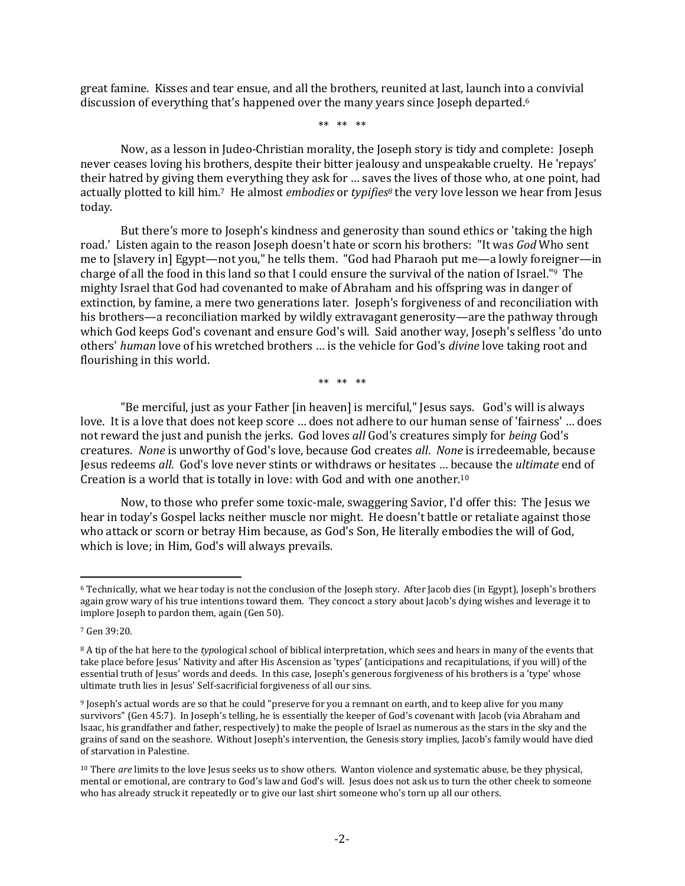great famine. Kisses and tear ensue, and all the brothers, reunited at last, launch into a convivial discussion of everything that's happened over the many years since Joseph departed. 6

\*\* \*\* \*\*

Now, as a lesson in Judeo-Christian morality, the Joseph story is tidy and complete: Joseph never ceases loving his brothers, despite their bitter jealousy and unspeakable cruelty. He 'repays' their hatred by giving them everything they ask for … saves the lives of those who, at one point, had actually plotted to kill him. <sup>7</sup> He almost *embodies* or *typifies<sup>8</sup>* the very love lesson we hear from Jesus today.

But there's more to Joseph's kindness and generosity than sound ethics or 'taking the high road.' Listen again to the reason Joseph doesn't hate or scorn his brothers: "It was *God* Who sent me to [slavery in] Egypt—not you," he tells them. "God had Pharaoh put me—a lowly foreigner—in charge of all the food in this land so that I could ensure the survival of the nation of Israel." <sup>9</sup> The mighty Israel that God had covenanted to make of Abraham and his offspring was in danger of extinction, by famine, a mere two generations later. Joseph's forgiveness of and reconciliation with his brothers—a reconciliation marked by wildly extravagant generosity—are the pathway through which God keeps God's covenant and ensure God's will. Said another way, Joseph's selfless 'do unto others' *human* love of his wretched brothers … is the vehicle for God's *divine* love taking root and flourishing in this world.

\*\* \*\* \*\*

"Be merciful, just as your Father [in heaven] is merciful," Jesus says. God's will is always love. It is a love that does not keep score … does not adhere to our human sense of 'fairness' … does not reward the just and punish the jerks. God loves *all* God's creatures simply for *being* God's creatures. *None* is unworthy of God's love, because God creates *all*. *None* is irredeemable, because Jesus redeems *all*. God's love never stints or withdraws or hesitates … because the *ultimate* end of Creation is a world that is totally in love: with God and with one another.<sup>10</sup>

Now, to those who prefer some toxic-male, swaggering Savior, I'd offer this: The Jesus we hear in today's Gospel lacks neither muscle nor might. He doesn't battle or retaliate against those who attack or scorn or betray Him because, as God's Son, He literally embodies the will of God, which is love; in Him, God's will always prevails.

<sup>6</sup> Technically, what we hear today is not the conclusion of the Joseph story. After Jacob dies (in Egypt), Joseph's brothers again grow wary of his true intentions toward them. They concoct a story about Jacob's dying wishes and leverage it to implore Joseph to pardon them, again (Gen 50).

<sup>7</sup> Gen 39:20.

<sup>8</sup> A tip of the hat here to the *typ*ological school of biblical interpretation, which sees and hears in many of the events that take place before Jesus' Nativity and after His Ascension as 'types' (anticipations and recapitulations, if you will) of the essential truth of Jesus' words and deeds. In this case, Joseph's generous forgiveness of his brothers is a 'type' whose ultimate truth lies in Jesus' Self-sacrificial forgiveness of all our sins.

<sup>9</sup> Joseph's actual words are so that he could "preserve for you a remnant on earth, and to keep alive for you many survivors" (Gen 45:7). In Joseph's telling, he is essentially the keeper of God's covenant with Jacob (via Abraham and Isaac, his grandfather and father, respectively) to make the people of Israel as numerous as the stars in the sky and the grains of sand on the seashore. Without Joseph's intervention, the Genesis story implies, Jacob's family would have died of starvation in Palestine.

<sup>10</sup> There *are* limits to the love Jesus seeks us to show others. Wanton violence and systematic abuse, be they physical, mental or emotional, are contrary to God's law and God's will. Jesus does not ask us to turn the other cheek to someone who has already struck it repeatedly or to give our last shirt someone who's torn up all our others.